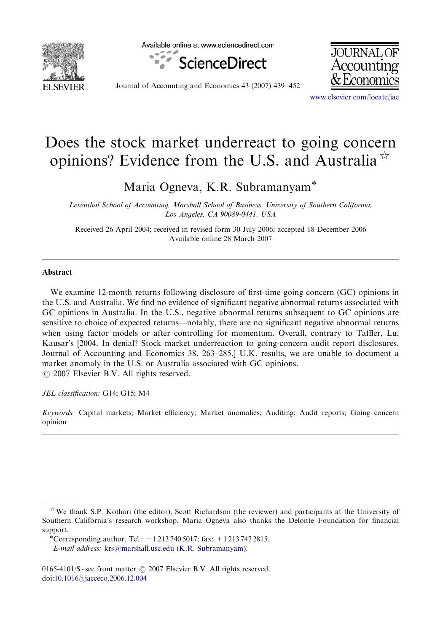

Available online at www.sciencedirect.com





Journal of Accounting and Economics 43 (2007) 439–452

<www.elsevier.com/locate/jae>

## Does the stock market underreact to going concern opinions? Evidence from the U.S. and Australia  $\overline{a}$

Maria Ogneva, K.R. Subramanyam<sup>\*</sup>

Leventhal School of Accounting, Marshall School of Business, University of Southern California, Los Angeles, CA 90089-0441, USA

Received 26 April 2004; received in revised form 30 July 2006; accepted 18 December 2006 Available online 28 March 2007

## Abstract

We examine 12-month returns following disclosure of first-time going concern (GC) opinions in the U.S. and Australia. We find no evidence of significant negative abnormal returns associated with GC opinions in Australia. In the U.S., negative abnormal returns subsequent to GC opinions are sensitive to choice of expected returns—notably, there are no significant negative abnormal returns when using factor models or after controlling for momentum. Overall, contrary to Taffler, Lu, Kausar's [2004. In denial? Stock market underreaction to going-concern audit report disclosures. Journal of Accounting and Economics 38, 263–285.] U.K. results, we are unable to document a market anomaly in the U.S. or Australia associated with GC opinions.  $\odot$  2007 Elsevier B.V. All rights reserved.

JEL classification: G14; G15; M4

Keywords: Capital markets; Market efficiency; Market anomalies; Auditing; Audit reports; Going concern opinion

 $*$ We thank S.P. Kothari (the editor), Scott Richardson (the reviewer) and participants at the University of Southern California's research workshop. Maria Ogneva also thanks the Deloitte Foundation for financial support.

<sup>\*</sup>Corresponding author. Tel.:  $+12137405017$ ; fax:  $+12137472815$ . E-mail address: [krs@marshall.usc.edu \(K.R. Subramanyam\).](mailto:krs@marshall.usc.edu)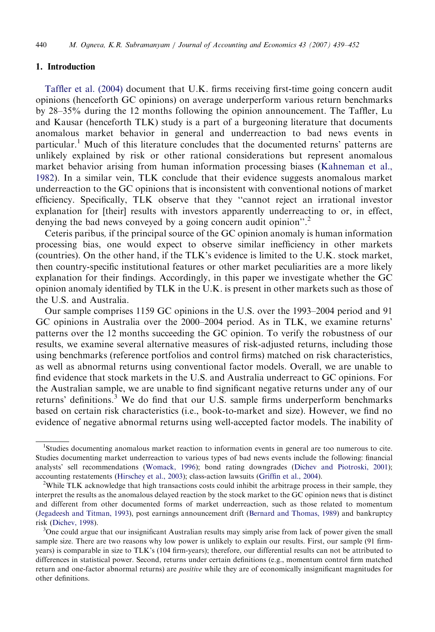## 1. Introduction

[Taffler et al. \(2004\)](#page--1-0) document that U.K. firms receiving first-time going concern audit opinions (henceforth GC opinions) on average underperform various return benchmarks by 28–35% during the 12 months following the opinion announcement. The Taffler, Lu and Kausar (henceforth TLK) study is a part of a burgeoning literature that documents anomalous market behavior in general and underreaction to bad news events in particular.<sup>1</sup> Much of this literature concludes that the documented returns' patterns are unlikely explained by risk or other rational considerations but represent anomalous market behavior arising from human information processing biases [\(Kahneman et al.,](#page--1-0) [1982](#page--1-0)). In a similar vein, TLK conclude that their evidence suggests anomalous market underreaction to the GC opinions that is inconsistent with conventional notions of market efficiency. Specifically, TLK observe that they ''cannot reject an irrational investor explanation for [their] results with investors apparently underreacting to or, in effect, denying the bad news conveyed by a going concern audit opinion".<sup>2</sup>

Ceteris paribus, if the principal source of the GC opinion anomaly is human information processing bias, one would expect to observe similar inefficiency in other markets (countries). On the other hand, if the TLK's evidence is limited to the U.K. stock market, then country-specific institutional features or other market peculiarities are a more likely explanation for their findings. Accordingly, in this paper we investigate whether the GC opinion anomaly identified by TLK in the U.K. is present in other markets such as those of the U.S. and Australia.

Our sample comprises 1159 GC opinions in the U.S. over the 1993–2004 period and 91 GC opinions in Australia over the 2000–2004 period. As in TLK, we examine returns' patterns over the 12 months succeeding the GC opinion. To verify the robustness of our results, we examine several alternative measures of risk-adjusted returns, including those using benchmarks (reference portfolios and control firms) matched on risk characteristics, as well as abnormal returns using conventional factor models. Overall, we are unable to find evidence that stock markets in the U.S. and Australia underreact to GC opinions. For the Australian sample, we are unable to find significant negative returns under any of our returns' definitions.<sup>3</sup> We do find that our U.S. sample firms underperform benchmarks based on certain risk characteristics (i.e., book-to-market and size). However, we find no evidence of negative abnormal returns using well-accepted factor models. The inability of

<sup>1</sup> Studies documenting anomalous market reaction to information events in general are too numerous to cite. Studies documenting market underreaction to various types of bad news events include the following: financial analysts' sell recommendations ([Womack, 1996](#page--1-0)); bond rating downgrades ([Dichev and Piotroski, 2001\)](#page--1-0); accounting restatements [\(Hirschey et al., 2003\)](#page--1-0); class-action lawsuits ([Griffin et al., 2004](#page--1-0)).

<sup>&</sup>lt;sup>2</sup>While TLK acknowledge that high transactions costs could inhibit the arbitrage process in their sample, they interpret the results as the anomalous delayed reaction by the stock market to the GC opinion news that is distinct and different from other documented forms of market underreaction, such as those related to momentum [\(Jegadeesh and Titman, 1993\)](#page--1-0), post earnings announcement drift ([Bernard and Thomas, 1989](#page--1-0)) and bankruptcy risk [\(Dichev, 1998](#page--1-0)).

 $3$ One could argue that our insignificant Australian results may simply arise from lack of power given the small sample size. There are two reasons why low power is unlikely to explain our results. First, our sample (91 firmyears) is comparable in size to TLK's (104 firm-years); therefore, our differential results can not be attributed to differences in statistical power. Second, returns under certain definitions (e.g., momentum control firm matched return and one-factor abnormal returns) are *positive* while they are of economically insignificant magnitudes for other definitions.